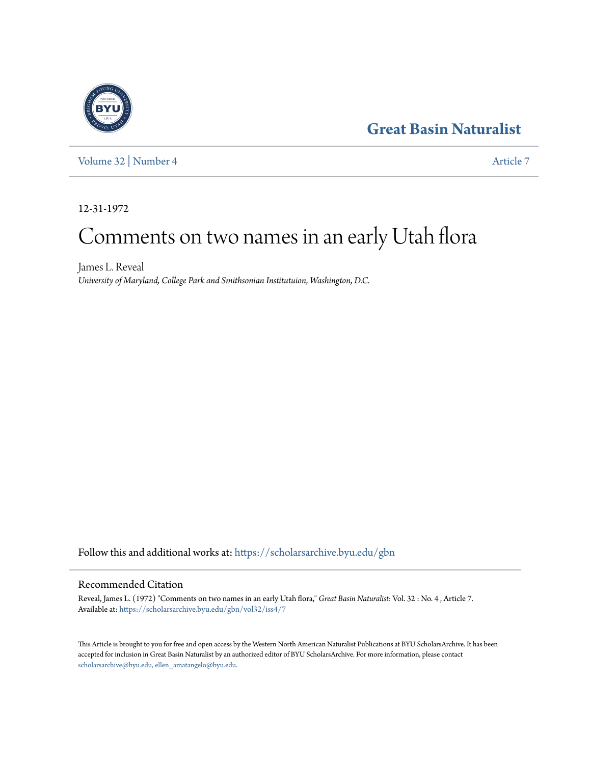## **[Great Basin Naturalist](https://scholarsarchive.byu.edu/gbn?utm_source=scholarsarchive.byu.edu%2Fgbn%2Fvol32%2Fiss4%2F7&utm_medium=PDF&utm_campaign=PDFCoverPages)**



[Volume 32](https://scholarsarchive.byu.edu/gbn/vol32?utm_source=scholarsarchive.byu.edu%2Fgbn%2Fvol32%2Fiss4%2F7&utm_medium=PDF&utm_campaign=PDFCoverPages) | [Number 4](https://scholarsarchive.byu.edu/gbn/vol32/iss4?utm_source=scholarsarchive.byu.edu%2Fgbn%2Fvol32%2Fiss4%2F7&utm_medium=PDF&utm_campaign=PDFCoverPages) [Article 7](https://scholarsarchive.byu.edu/gbn/vol32/iss4/7?utm_source=scholarsarchive.byu.edu%2Fgbn%2Fvol32%2Fiss4%2F7&utm_medium=PDF&utm_campaign=PDFCoverPages)

12-31-1972

# Comments on two names in an early Utah flora

James L. Reveal *University of Maryland, College Park and Smithsonian Institutuion, Washington, D.C.*

Follow this and additional works at: [https://scholarsarchive.byu.edu/gbn](https://scholarsarchive.byu.edu/gbn?utm_source=scholarsarchive.byu.edu%2Fgbn%2Fvol32%2Fiss4%2F7&utm_medium=PDF&utm_campaign=PDFCoverPages)

### Recommended Citation

Reveal, James L. (1972) "Comments on two names in an early Utah flora," *Great Basin Naturalist*: Vol. 32 : No. 4 , Article 7. Available at: [https://scholarsarchive.byu.edu/gbn/vol32/iss4/7](https://scholarsarchive.byu.edu/gbn/vol32/iss4/7?utm_source=scholarsarchive.byu.edu%2Fgbn%2Fvol32%2Fiss4%2F7&utm_medium=PDF&utm_campaign=PDFCoverPages)

This Article is brought to you for free and open access by the Western North American Naturalist Publications at BYU ScholarsArchive. It has been accepted for inclusion in Great Basin Naturalist by an authorized editor of BYU ScholarsArchive. For more information, please contact [scholarsarchive@byu.edu, ellen\\_amatangelo@byu.edu.](mailto:scholarsarchive@byu.edu,%20ellen_amatangelo@byu.edu)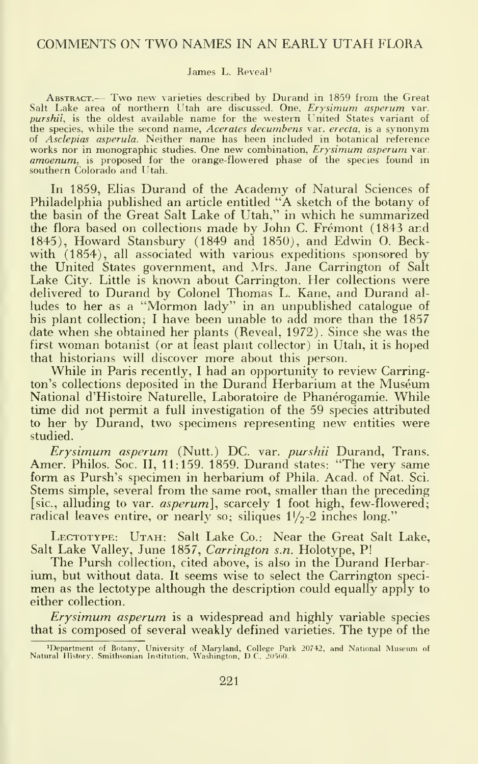#### COMMENTS ON TWO NAMES IN AN EARLY UTAH FLORA

#### James L. Reveal'

Abstract.— Two new varieties described by Durand in <sup>1859</sup> from the Great Salt Lake area of northern Utah are discussed. One, *Erysimum asperum* var.<br>*purshii*, is the oldest available name for the western United States variant of the species, while the second name, Acerates decumbens var. erecta, is a synonym of Asclepias asperula. Neither name has been included in botanical reference works nor in monographic studies. One new combination, Erysimum asperum var. amoenum, is proposed for the orange-flowered phase of the species found in southern Colorado and Utah.

In 1859, Elias Durand of the Academy of Natural Sciences of Philadelphia published an article entitled "A sketch of the botany of the basin of the Great Salt Lake of Utah," in which he summarized the flora based on collections made by John C. Fremont (1843 and 1845), Howard Stansbury (1849 and 1850), and Edwin O. Beck with (1854), all associated with various expeditions sponsored by the United States government, and Mrs. Jane Carrington of Salt Lake City. Little is known about Carrington. Her collections were delivered to Durand by Colonel Thomas L. Kane, and Durand al ludes to her as <sup>a</sup> "Mormon lady" in an unpublished catalogue of his plant collection; <sup>I</sup> have been unable to add more than the 1857 date when she obtained her plants (Reveal, 1972). Since she was the first woman botanist (or at least plant collector) in Utah, it is hoped that historians will discover more about this person.

While in Paris recently, <sup>I</sup> had an opportunity to review Carrington's collections deposited in the Durand Herbarium at the Museum National d'Histoire Naturelle, Laboratoire de Phanerogamie. While time did not permit a full investigation of the 59 species attributed to her by Durand, two specimens representing new entities were studied.

Erysimum asperum. (Nutt.) DC. var. purshii Durand, Trans. Amer. Philos. Soc. II, 11:159. 1859. Durand states: "The very same form as Pursh's specimen in herbarium of Phila. Acad, of Nat. Sci. Stems simple, several from the same root, smaller than the preceding [sic., alluding to var. *asperum*], scarcely 1 foot high, few-flowered; radical leaves entire, or nearly so; siliques  $1\frac{1}{2}$ -2 inches long."

LECTOTYPE: UTAH: Salt Lake Co.: Near the Great Salt Lake, Salt Lake Valley, June 1857, Carrington s.n. Holotype, P!

The Pursh collection, cited above, is also in the Durand Herbar-<br>ium, but without data. It seems wise to select the Carrington specimen as the lectotype although the description could equally apply to either collection.

Erysimum asperum is a widespread and highly variable species that is composed of several weakly defined varieties. The type of the

<sup>&#</sup>x27;Department of Botany, University of Maryland, College Park 20742, and National Museum of Natural History, Smithsonian Institution, Washington, DC. 20560.